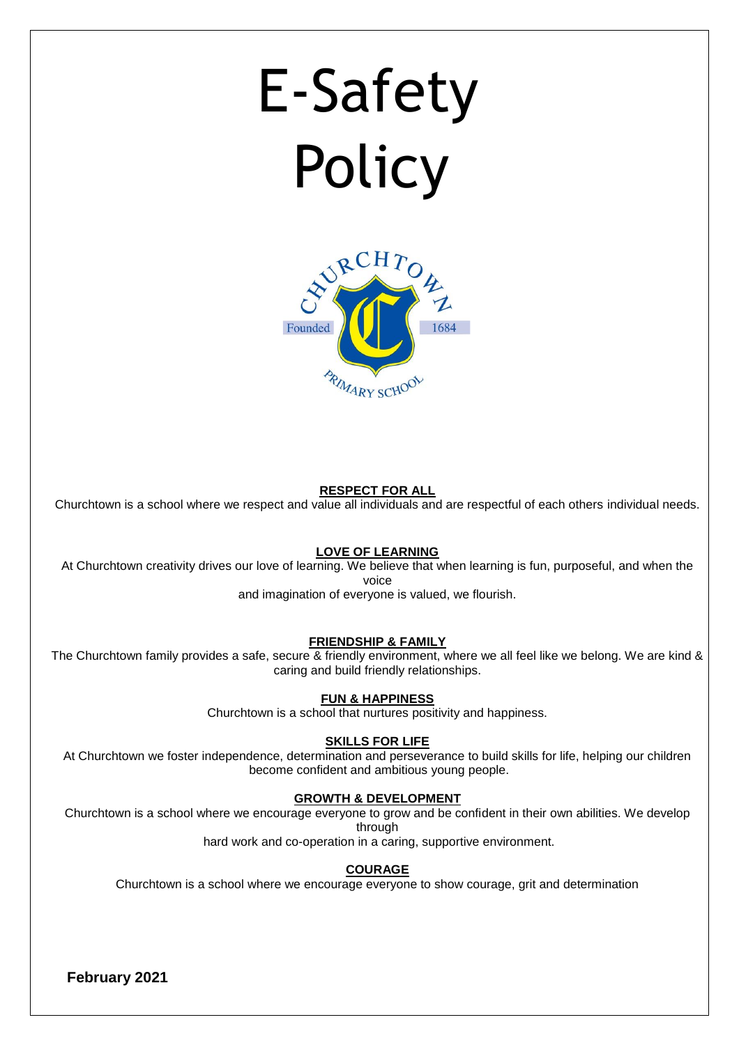# E-Safety **Policy**



#### **RESPECT FOR ALL**

Churchtown is a school where we respect and value all individuals and are respectful of each others individual needs.

#### **LOVE OF LEARNING**

At Churchtown creativity drives our love of learning. We believe that when learning is fun, purposeful, and when the voice

and imagination of everyone is valued, we flourish.

#### **FRIENDSHIP & FAMILY**

The Churchtown family provides a safe, secure & friendly environment, where we all feel like we belong. We are kind & caring and build friendly relationships.

#### **FUN & HAPPINESS**

Churchtown is a school that nurtures positivity and happiness.

#### **SKILLS FOR LIFE**

At Churchtown we foster independence, determination and perseverance to build skills for life, helping our children become confident and ambitious young people.

#### **GROWTH & DEVELOPMENT**

Churchtown is a school where we encourage everyone to grow and be confident in their own abilities. We develop through

hard work and co-operation in a caring, supportive environment.

#### **COURAGE**

Churchtown is a school where we encourage everyone to show courage, grit and determination

**February 2021**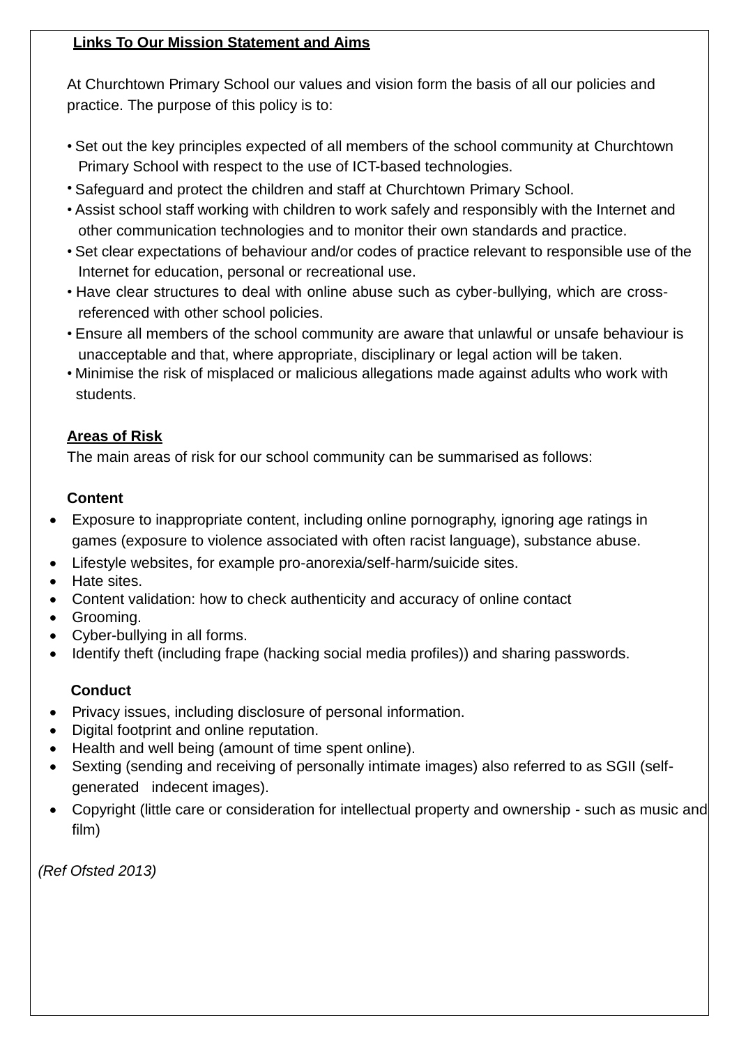## **Links To Our Mission Statement and Aims**

At Churchtown Primary School our values and vision form the basis of all our policies and practice. The purpose of this policy is to:

- Set out the key principles expected of all members of the school community at Churchtown Primary School with respect to the use of ICT-based technologies.
- Safeguard and protect the children and staff at Churchtown Primary School.
- Assist school staff working with children to work safely and responsibly with the Internet and other communication technologies and to monitor their own standards and practice.
- Set clear expectations of behaviour and/or codes of practice relevant to responsible use of the Internet for education, personal or recreational use.
- Have clear structures to deal with online abuse such as cyber-bullying, which are crossreferenced with other school policies.
- Ensure all members of the school community are aware that unlawful or unsafe behaviour is unacceptable and that, where appropriate, disciplinary or legal action will be taken.
- Minimise the risk of misplaced or malicious allegations made against adults who work with students.

## **Areas of Risk**

The main areas of risk for our school community can be summarised as follows:

## **Content**

- Exposure to inappropriate content, including online pornography, ignoring age ratings in games (exposure to violence associated with often racist language), substance abuse.
- Lifestyle websites, for example pro-anorexia/self-harm/suicide sites.
- Hate sites.
- Content validation: how to check authenticity and accuracy of online contact
- Grooming.
- Cyber-bullying in all forms.
- Identify theft (including frape (hacking social media profiles)) and sharing passwords.

## **Conduct**

- Privacy issues, including disclosure of personal information.
- Digital footprint and online reputation.
- Health and well being (amount of time spent online).
- Sexting (sending and receiving of personally intimate images) also referred to as SGII (selfgenerated indecent images).
- Copyright (little care or consideration for intellectual property and ownership such as music and film)

*(Ref Ofsted 2013)*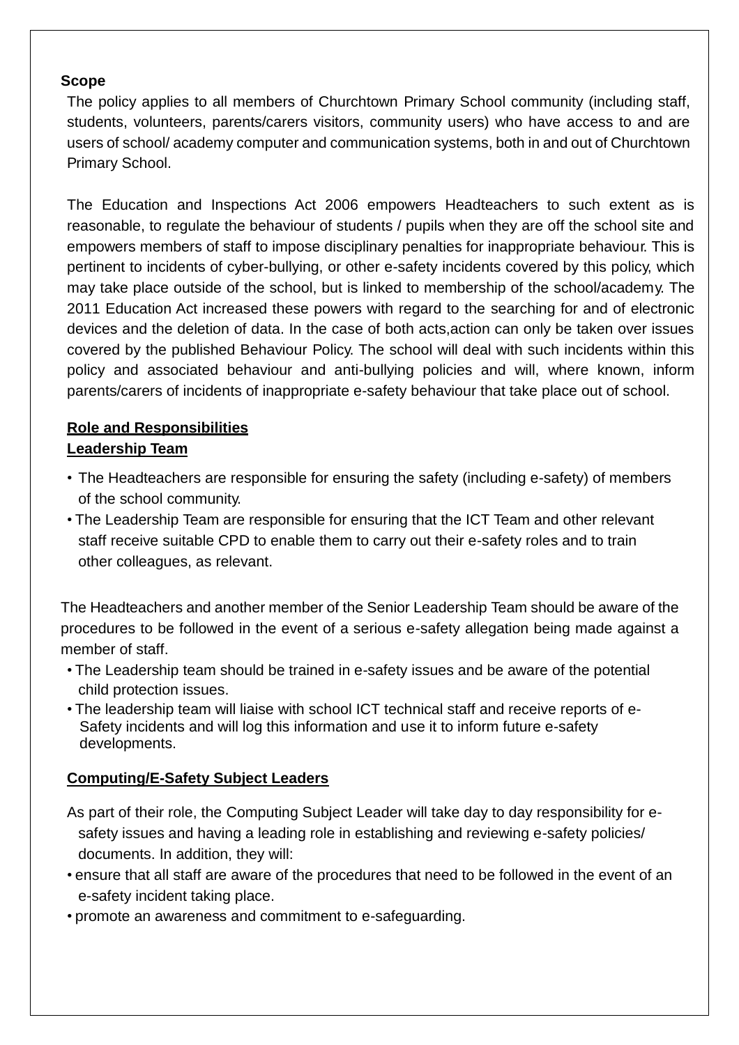#### **Scope**

The policy applies to all members of Churchtown Primary School community (including staff, students, volunteers, parents/carers visitors, community users) who have access to and are users of school/ academy computer and communication systems, both in and out of Churchtown Primary School.

The Education and Inspections Act 2006 empowers Headteachers to such extent as is reasonable, to regulate the behaviour of students / pupils when they are off the school site and empowers members of staff to impose disciplinary penalties for inappropriate behaviour. This is pertinent to incidents of cyber-bullying, or other e-safety incidents covered by this policy, which may take place outside of the school, but is linked to membership of the school/academy. The 2011 Education Act increased these powers with regard to the searching for and of electronic devices and the deletion of data. In the case of both acts,action can only be taken over issues covered by the published Behaviour Policy. The school will deal with such incidents within this policy and associated behaviour and anti-bullying policies and will, where known, inform parents/carers of incidents of inappropriate e-safety behaviour that take place out of school.

## **Role and Responsibilities Leadership Team**

- The Headteachers are responsible for ensuring the safety (including e-safety) of members of the school community.
- The Leadership Team are responsible for ensuring that the ICT Team and other relevant staff receive suitable CPD to enable them to carry out their e-safety roles and to train other colleagues, as relevant.

The Headteachers and another member of the Senior Leadership Team should be aware of the procedures to be followed in the event of a serious e-safety allegation being made against a member of staff.

- The Leadership team should be trained in e-safety issues and be aware of the potential child protection issues.
- The leadership team will liaise with school ICT technical staff and receive reports of e- Safety incidents and will log this information and use it to inform future e-safety developments.

## **Computing/E-Safety Subject Leaders**

- As part of their role, the Computing Subject Leader will take day to day responsibility for esafety issues and having a leading role in establishing and reviewing e-safety policies/ documents. In addition, they will:
- ensure that all staff are aware of the procedures that need to be followed in the event of an e-safety incident taking place.
- promote an awareness and commitment to e-safeguarding.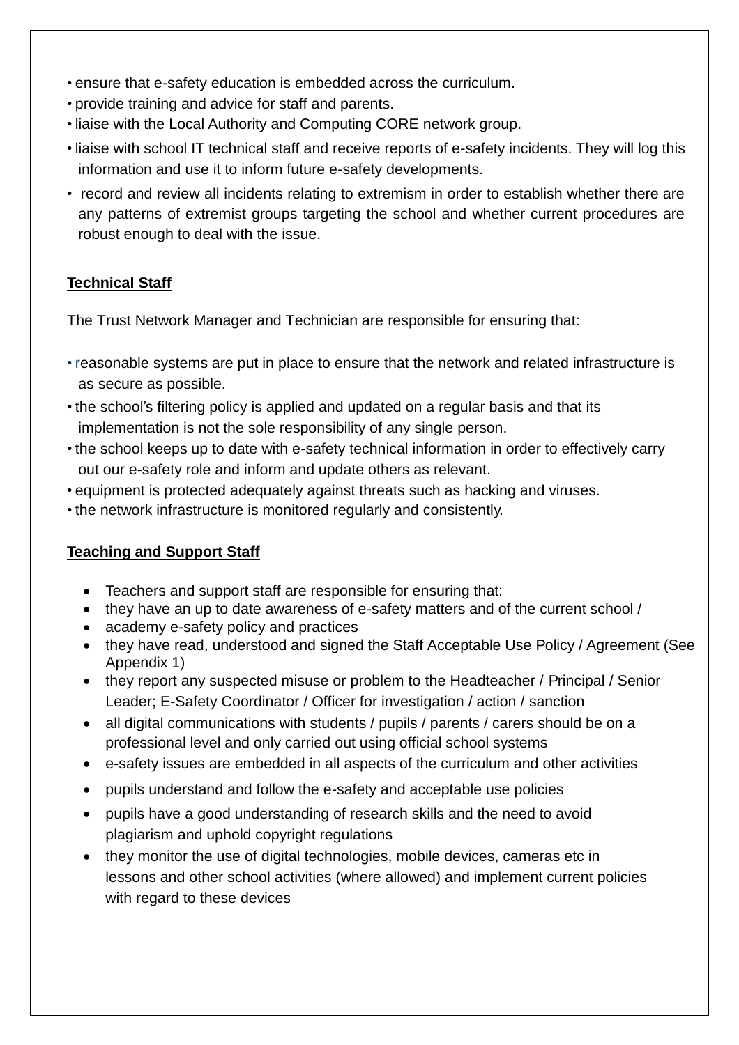- ensure that e-safety education is embedded across the curriculum.
- provide training and advice for staff and parents.
- liaise with the Local Authority and Computing CORE network group.
- liaise with school IT technical staff and receive reports of e-safety incidents. They will log this information and use it to inform future e-safety developments.
- record and review all incidents relating to extremism in order to establish whether there are any patterns of extremist groups targeting the school and whether current procedures are robust enough to deal with the issue.

## **Technical Staff**

The Trust Network Manager and Technician are responsible for ensuring that:

- reasonable systems are put in place to ensure that the network and related infrastructure is as secure as possible.
- the school's filtering policy is applied and updated on a regular basis and that its implementation is not the sole responsibility of any single person.
- the school keeps up to date with e-safety technical information in order to effectively carry out our e-safety role and inform and update others as relevant.
- equipment is protected adequately against threats such as hacking and viruses.
- the network infrastructure is monitored regularly and consistently.

## **Teaching and Support Staff**

- Teachers and support staff are responsible for ensuring that:
- they have an up to date awareness of e-safety matters and of the current school /
- academy e-safety policy and practices
- they have read, understood and signed the Staff Acceptable Use Policy / Agreement (See Appendix 1)
- they report any suspected misuse or problem to the Headteacher / Principal / Senior Leader; E-Safety Coordinator / Officer for investigation / action / sanction
- all digital communications with students / pupils / parents / carers should be on a professional level and only carried out using official school systems
- e-safety issues are embedded in all aspects of the curriculum and other activities
- pupils understand and follow the e-safety and acceptable use policies
- pupils have a good understanding of research skills and the need to avoid plagiarism and uphold copyright regulations
- they monitor the use of digital technologies, mobile devices, cameras etc in lessons and other school activities (where allowed) and implement current policies with regard to these devices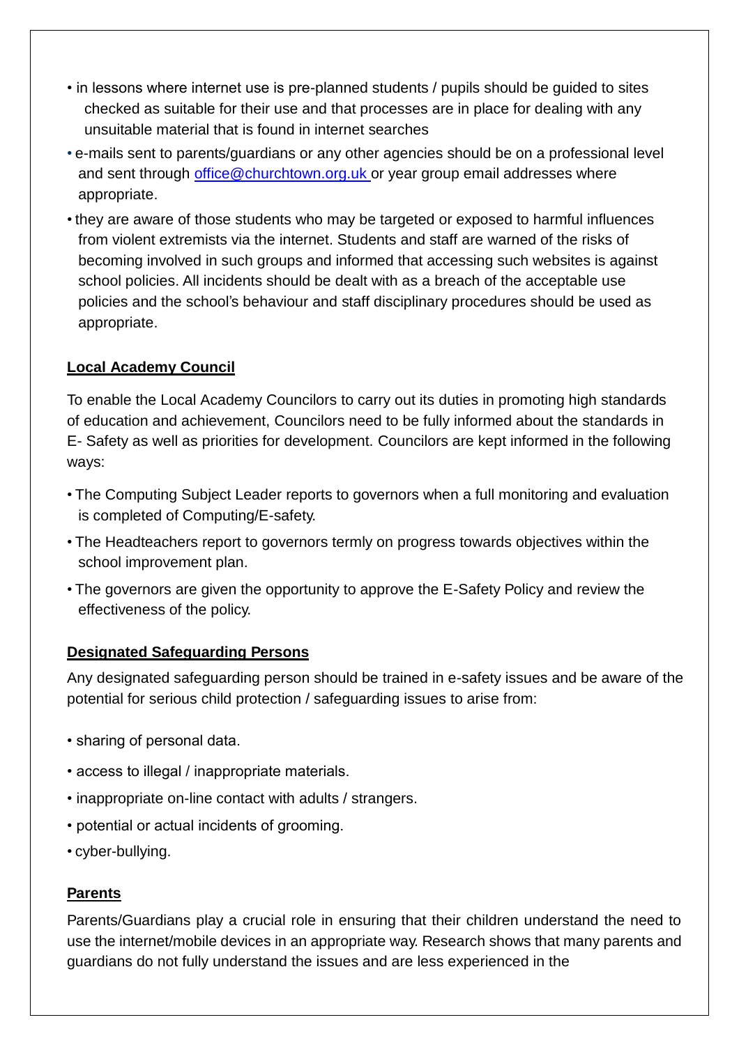- in lessons where internet use is pre-planned students / pupils should be guided to sites checked as suitable for their use and that processes are in place for dealing with any unsuitable material that is found in internet searches
- e-mails sent to parents/guardians or any other agencies should be on a professional level and sent through [office@churchtown.org.uk](mailto:office@churchtown.org.uk) or year group email addresses where appropriate.
- they are aware of those students who may be targeted or exposed to harmful influences from violent extremists via the internet. Students and staff are warned of the risks of becoming involved in such groups and informed that accessing such websites is against school policies. All incidents should be dealt with as a breach of the acceptable use policies and the school's behaviour and staff disciplinary procedures should be used as appropriate.

## **Local Academy Council**

To enable the Local Academy Councilors to carry out its duties in promoting high standards of education and achievement, Councilors need to be fully informed about the standards in E- Safety as well as priorities for development. Councilors are kept informed in the following ways:

- The Computing Subject Leader reports to governors when a full monitoring and evaluation is completed of Computing/E-safety.
- The Headteachers report to governors termly on progress towards objectives within the school improvement plan.
- The governors are given the opportunity to approve the E-Safety Policy and review the effectiveness of the policy.

## **Designated Safeguarding Persons**

Any designated safeguarding person should be trained in e-safety issues and be aware of the potential for serious child protection / safeguarding issues to arise from:

- sharing of personal data.
- access to illegal / inappropriate materials.
- inappropriate on-line contact with adults / strangers.
- potential or actual incidents of grooming.
- cyber-bullying.

## **Parents**

Parents/Guardians play a crucial role in ensuring that their children understand the need to use the internet/mobile devices in an appropriate way. Research shows that many parents and guardians do not fully understand the issues and are less experienced in the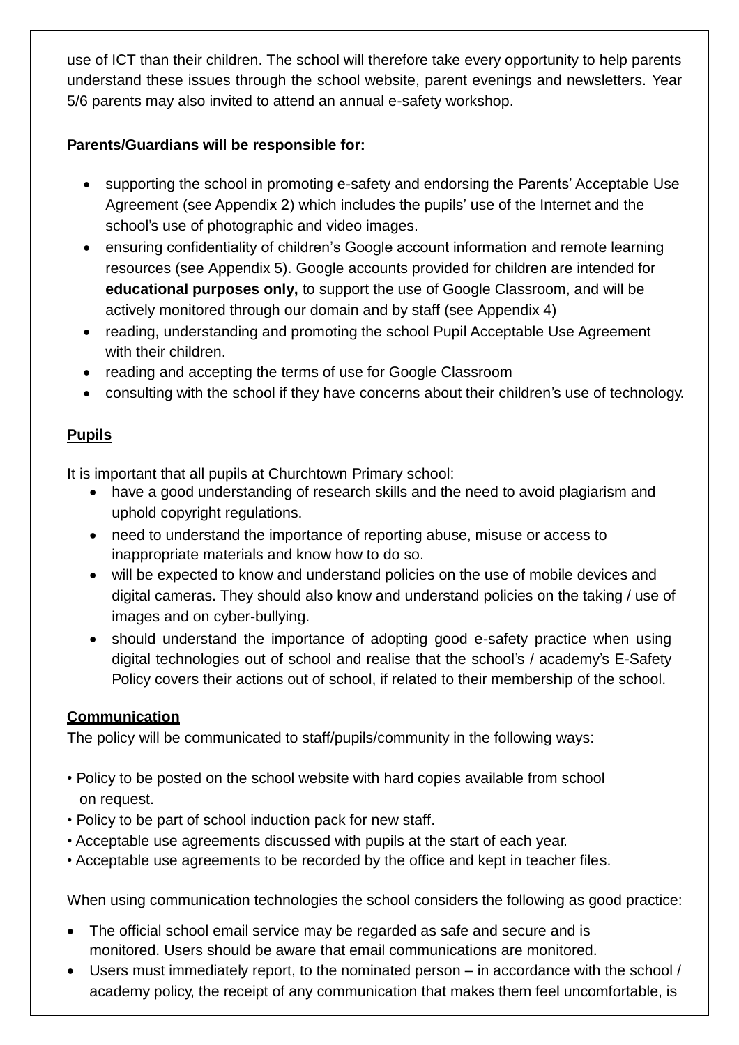use of ICT than their children. The school will therefore take every opportunity to help parents understand these issues through the school website, parent evenings and newsletters. Year 5/6 parents may also invited to attend an annual e-safety workshop.

## **Parents/Guardians will be responsible for:**

- supporting the school in promoting e-safety and endorsing the Parents' Acceptable Use Agreement (see Appendix 2) which includes the pupils' use of the Internet and the school's use of photographic and video images.
- ensuring confidentiality of children's Google account information and remote learning resources (see Appendix 5). Google accounts provided for children are intended for **educational purposes only,** to support the use of Google Classroom, and will be actively monitored through our domain and by staff (see Appendix 4)
- reading, understanding and promoting the school Pupil Acceptable Use Agreement with their children.
- reading and accepting the terms of use for Google Classroom
- consulting with the school if they have concerns about their children's use of technology.

## **Pupils**

It is important that all pupils at Churchtown Primary school:

- have a good understanding of research skills and the need to avoid plagiarism and uphold copyright regulations.
- need to understand the importance of reporting abuse, misuse or access to inappropriate materials and know how to do so.
- will be expected to know and understand policies on the use of mobile devices and digital cameras. They should also know and understand policies on the taking / use of images and on cyber-bullying.
- should understand the importance of adopting good e-safety practice when using digital technologies out of school and realise that the school's / academy's E-Safety Policy covers their actions out of school, if related to their membership of the school.

## **Communication**

The policy will be communicated to staff/pupils/community in the following ways:

- Policy to be posted on the school website with hard copies available from school on request.
- Policy to be part of school induction pack for new staff.
- Acceptable use agreements discussed with pupils at the start of each year.
- Acceptable use agreements to be recorded by the office and kept in teacher files.

When using communication technologies the school considers the following as good practice:

- The official school email service may be regarded as safe and secure and is monitored. Users should be aware that email communications are monitored.
- Users must immediately report, to the nominated person in accordance with the school / academy policy, the receipt of any communication that makes them feel uncomfortable, is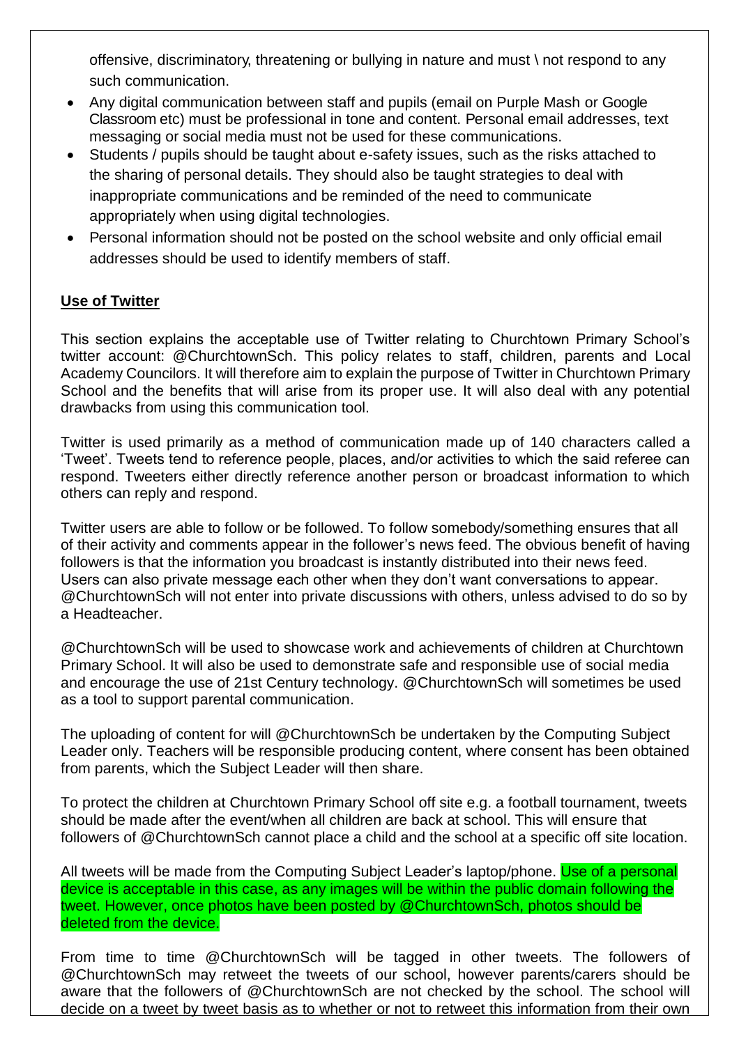offensive, discriminatory, threatening or bullying in nature and must \ not respond to any such communication.

- Any digital communication between staff and pupils (email on Purple Mash or Google Classroom etc) must be professional in tone and content. Personal email addresses, text messaging or social media must not be used for these communications.
- Students / pupils should be taught about e-safety issues, such as the risks attached to the sharing of personal details. They should also be taught strategies to deal with inappropriate communications and be reminded of the need to communicate appropriately when using digital technologies.
- Personal information should not be posted on the school website and only official email addresses should be used to identify members of staff.

## **Use of Twitter**

This section explains the acceptable use of Twitter relating to Churchtown Primary School's twitter account: @ChurchtownSch. This policy relates to staff, children, parents and Local Academy Councilors. It will therefore aim to explain the purpose of Twitter in Churchtown Primary School and the benefits that will arise from its proper use. It will also deal with any potential drawbacks from using this communication tool.

Twitter is used primarily as a method of communication made up of 140 characters called a 'Tweet'. Tweets tend to reference people, places, and/or activities to which the said referee can respond. Tweeters either directly reference another person or broadcast information to which others can reply and respond.

Twitter users are able to follow or be followed. To follow somebody/something ensures that all of their activity and comments appear in the follower's news feed. The obvious benefit of having followers is that the information you broadcast is instantly distributed into their news feed. Users can also private message each other when they don't want conversations to appear. @ChurchtownSch will not enter into private discussions with others, unless advised to do so by a Headteacher.

@ChurchtownSch will be used to showcase work and achievements of children at Churchtown Primary School. It will also be used to demonstrate safe and responsible use of social media and encourage the use of 21st Century technology. @ChurchtownSch will sometimes be used as a tool to support parental communication.

The uploading of content for will @ChurchtownSch be undertaken by the Computing Subject Leader only. Teachers will be responsible producing content, where consent has been obtained from parents, which the Subject Leader will then share.

To protect the children at Churchtown Primary School off site e.g. a football tournament, tweets should be made after the event/when all children are back at school. This will ensure that followers of @ChurchtownSch cannot place a child and the school at a specific off site location.

All tweets will be made from the Computing Subject Leader's laptop/phone. Use of a personal device is acceptable in this case, as any images will be within the public domain following the tweet. However, once photos have been posted by @ChurchtownSch, photos should be deleted from the device.

From time to time @ChurchtownSch will be tagged in other tweets. The followers of @ChurchtownSch may retweet the tweets of our school, however parents/carers should be aware that the followers of @ChurchtownSch are not checked by the school. The school will decide on a tweet by tweet basis as to whether or not to retweet this information from their own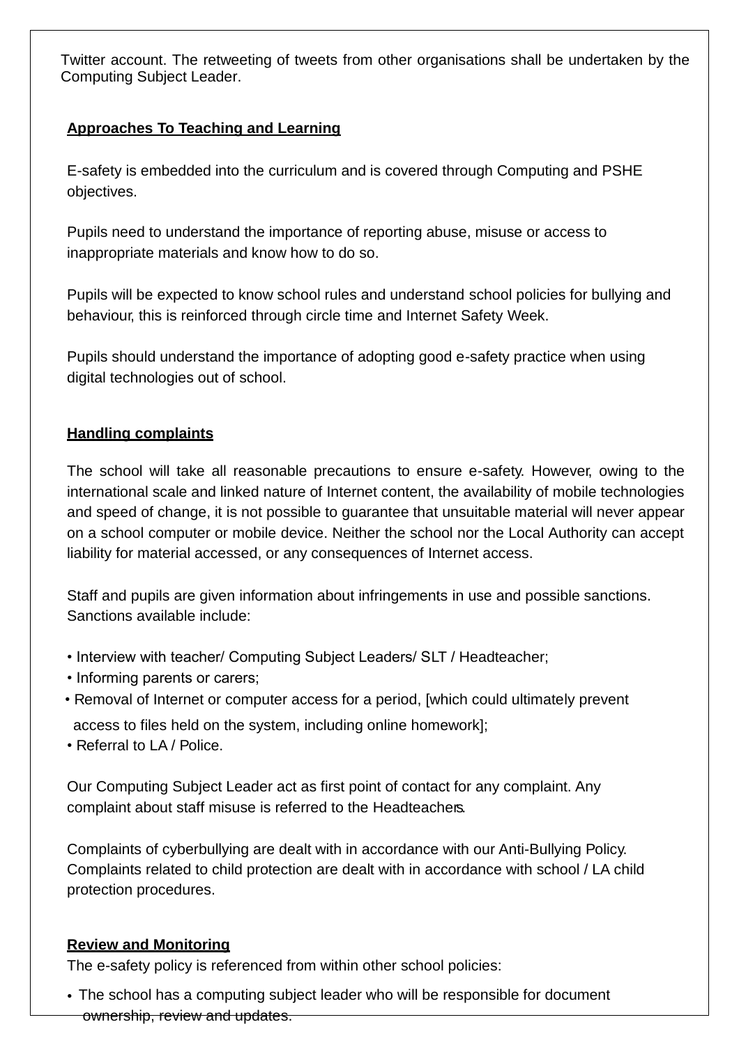Twitter account. The retweeting of tweets from other organisations shall be undertaken by the Computing Subject Leader.

## **Approaches To Teaching and Learning**

E-safety is embedded into the curriculum and is covered through Computing and PSHE objectives.

Pupils need to understand the importance of reporting abuse, misuse or access to inappropriate materials and know how to do so.

Pupils will be expected to know school rules and understand school policies for bullying and behaviour, this is reinforced through circle time and Internet Safety Week.

Pupils should understand the importance of adopting good e-safety practice when using digital technologies out of school.

## **Handling complaints**

The school will take all reasonable precautions to ensure e-safety. However, owing to the international scale and linked nature of Internet content, the availability of mobile technologies and speed of change, it is not possible to guarantee that unsuitable material will never appear on a school computer or mobile device. Neither the school nor the Local Authority can accept liability for material accessed, or any consequences of Internet access.

Staff and pupils are given information about infringements in use and possible sanctions. Sanctions available include:

- Interview with teacher/ Computing Subject Leaders/ SLT / Headteacher;
- Informing parents or carers;
- Removal of Internet or computer access for a period, [which could ultimately prevent access to files held on the system, including online homework];
- Referral to LA / Police.

Our Computing Subject Leader act as first point of contact for any complaint. Any complaint about staff misuse is referred to the Headteachers.

Complaints of cyberbullying are dealt with in accordance with our Anti-Bullying Policy. Complaints related to child protection are dealt with in accordance with school / LA child protection procedures.

#### **Review and Monitoring**

The e-safety policy is referenced from within other school policies:

• The school has a computing subject leader who will be responsible for document ownership, review and updates.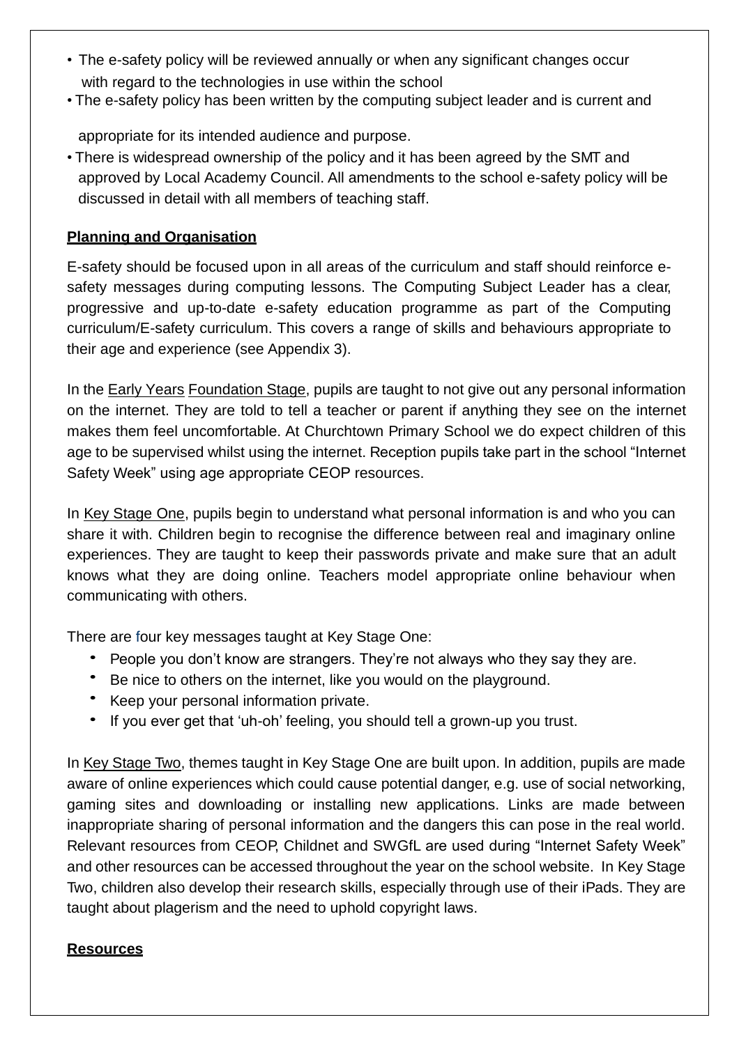- The e-safety policy will be reviewed annually or when any significant changes occur with regard to the technologies in use within the school
- The e-safety policy has been written by the computing subject leader and is current and

appropriate for its intended audience and purpose.

• There is widespread ownership of the policy and it has been agreed by the SMT and approved by Local Academy Council. All amendments to the school e-safety policy will be discussed in detail with all members of teaching staff.

## **Planning and Organisation**

E-safety should be focused upon in all areas of the curriculum and staff should reinforce esafety messages during computing lessons. The Computing Subject Leader has a clear, progressive and up-to-date e-safety education programme as part of the Computing curriculum/E-safety curriculum. This covers a range of skills and behaviours appropriate to their age and experience (see Appendix 3).

In the Early Years Foundation Stage, pupils are taught to not give out any personal information on the internet. They are told to tell a teacher or parent if anything they see on the internet makes them feel uncomfortable. At Churchtown Primary School we do expect children of this age to be supervised whilst using the internet. Reception pupils take part in the school "Internet Safety Week" using age appropriate CEOP resources.

In Key Stage One, pupils begin to understand what personal information is and who you can share it with. Children begin to recognise the difference between real and imaginary online experiences. They are taught to keep their passwords private and make sure that an adult knows what they are doing online. Teachers model appropriate online behaviour when communicating with others.

There are four key messages taught at Key Stage One:

- People you don't know are strangers. They're not always who they say they are.
- Be nice to others on the internet, like you would on the playground.
- Keep your personal information private.
- If you ever get that 'uh-oh' feeling, you should tell a grown-up you trust.

In Key Stage Two, themes taught in Key Stage One are built upon. In addition, pupils are made aware of online experiences which could cause potential danger, e.g. use of social networking, gaming sites and downloading or installing new applications. Links are made between inappropriate sharing of personal information and the dangers this can pose in the real world. Relevant resources from CEOP, Childnet and SWGfL are used during "Internet Safety Week" and other resources can be accessed throughout the year on the school website. In Key Stage Two, children also develop their research skills, especially through use of their iPads. They are taught about plagerism and the need to uphold copyright laws.

## **Resources**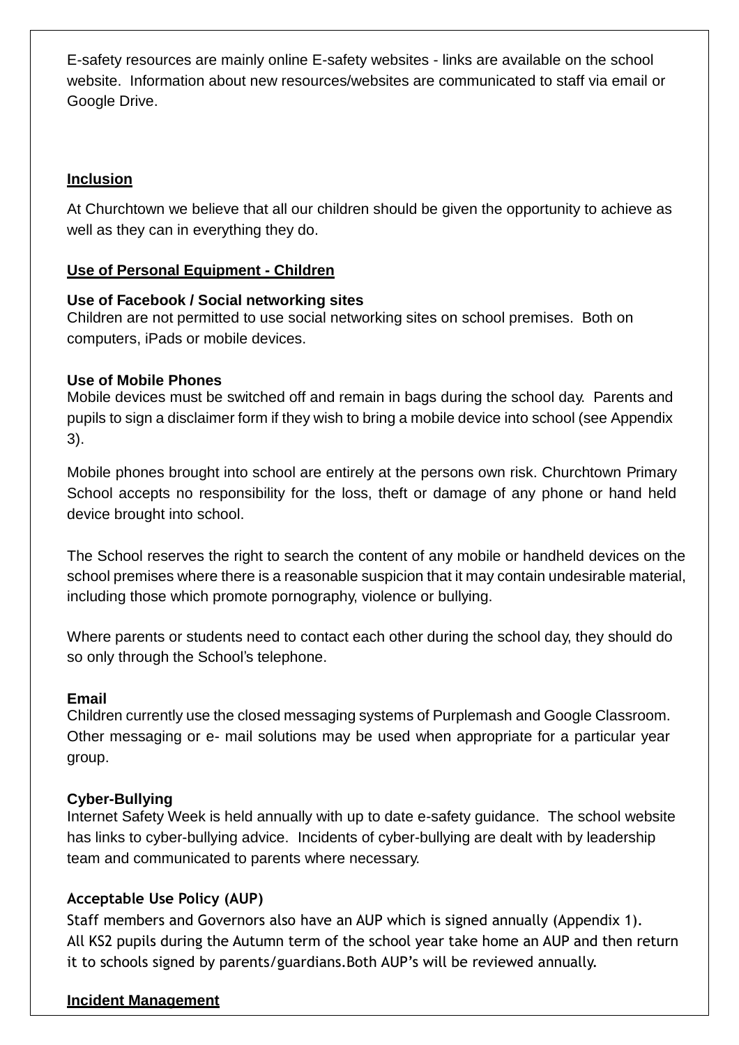E-safety resources are mainly online E-safety websites - links are available on the school website. Information about new resources/websites are communicated to staff via email or Google Drive.

## **Inclusion**

At Churchtown we believe that all our children should be given the opportunity to achieve as well as they can in everything they do.

## **Use of Personal Equipment - Children**

#### **Use of Facebook / Social networking sites**

Children are not permitted to use social networking sites on school premises. Both on computers, iPads or mobile devices.

#### **Use of Mobile Phones**

Mobile devices must be switched off and remain in bags during the school day. Parents and pupils to sign a disclaimer form if they wish to bring a mobile device into school (see Appendix 3).

Mobile phones brought into school are entirely at the persons own risk. Churchtown Primary School accepts no responsibility for the loss, theft or damage of any phone or hand held device brought into school.

The School reserves the right to search the content of any mobile or handheld devices on the school premises where there is a reasonable suspicion that it may contain undesirable material, including those which promote pornography, violence or bullying.

Where parents or students need to contact each other during the school day, they should do so only through the School's telephone.

#### **Email**

Children currently use the closed messaging systems of Purplemash and Google Classroom. Other messaging or e- mail solutions may be used when appropriate for a particular year group.

## **Cyber-Bullying**

Internet Safety Week is held annually with up to date e-safety guidance. The school website has links to cyber-bullying advice. Incidents of cyber-bullying are dealt with by leadership team and communicated to parents where necessary.

## **Acceptable Use Policy (AUP)**

Staff members and Governors also have an AUP which is signed annually (Appendix 1). All KS2 pupils during the Autumn term of the school year take home an AUP and then return it to schools signed by parents/guardians.Both AUP's will be reviewed annually.

#### **Incident Management**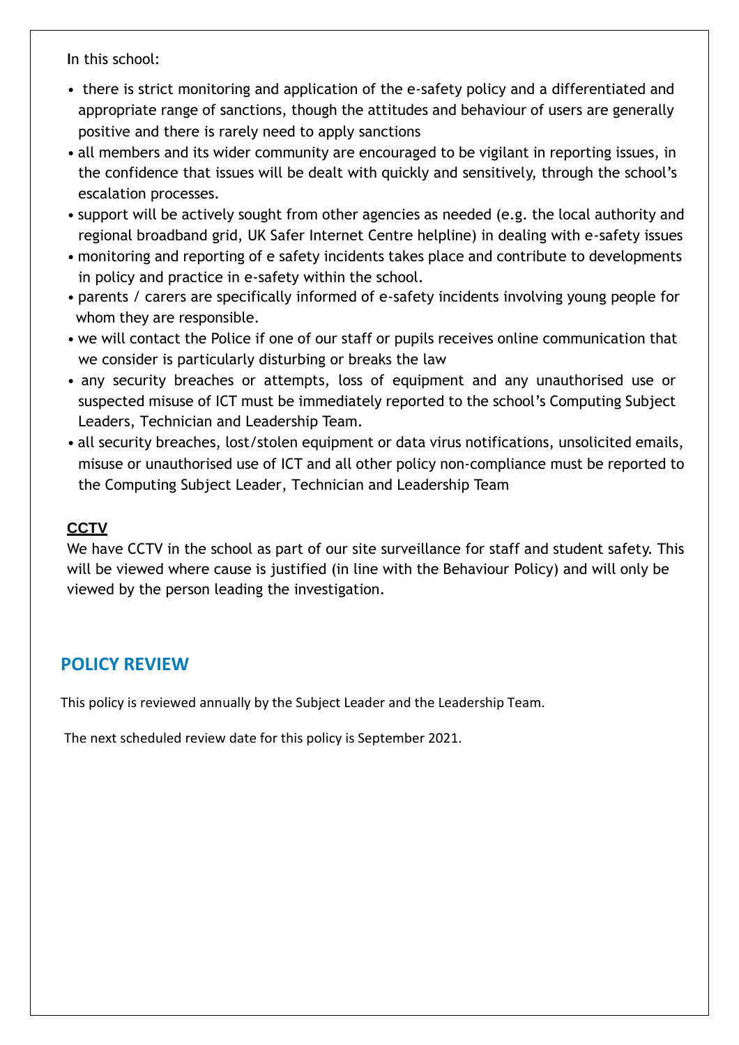**I**n this school:

- there is strict monitoring and application of the e-safety policy and a differentiated and appropriate range of sanctions, though the attitudes and behaviour of users are generally positive and there is rarely need to apply sanctions
- all members and its wider community are encouraged to be vigilant in reporting issues, in the confidence that issues will be dealt with quickly and sensitively, through the school's escalation processes.
- support will be actively sought from other agencies as needed (e.g. the local authority and regional broadband grid, UK Safer Internet Centre helpline) in dealing with e-safety issues
- monitoring and reporting of e safety incidents takes place and contribute to developments in policy and practice in e-safety within the school.
- parents / carers are specifically informed of e-safety incidents involving young people for whom they are responsible.
- we will contact the Police if one of our staff or pupils receives online communication that we consider is particularly disturbing or breaks the law
- any security breaches or attempts, loss of equipment and any unauthorised use or suspected misuse of ICT must be immediately reported to the school's Computing Subject Leaders, Technician and Leadership Team.
- all security breaches, lost/stolen equipment or data virus notifications, unsolicited emails, misuse or unauthorised use of ICT and all other policy non-compliance must be reported to the Computing Subject Leader, Technician and Leadership Team

## **CCTV**

We have CCTV in the school as part of our site surveillance for staff and student safety. This will be viewed where cause is justified (in line with the Behaviour Policy) and will only be viewed by the person leading the investigation.

## **POLICY REVIEW**

This policy is reviewed annually by the Subject Leader and the Leadership Team.

The next scheduled review date for this policy is September 2021.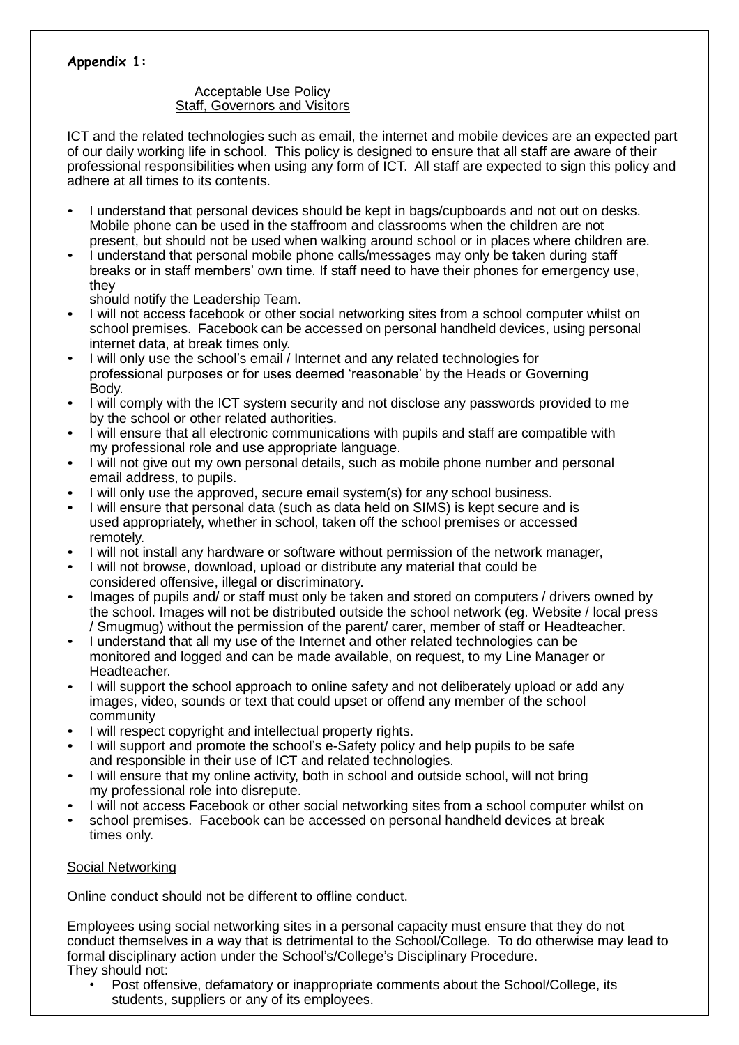#### **Appendix 1:**

#### Acceptable Use Policy Staff, Governors and Visitors

ICT and the related technologies such as email, the internet and mobile devices are an expected part of our daily working life in school. This policy is designed to ensure that all staff are aware of their professional responsibilities when using any form of ICT. All staff are expected to sign this policy and adhere at all times to its contents.

- I understand that personal devices should be kept in bags/cupboards and not out on desks. Mobile phone can be used in the staffroom and classrooms when the children are not present, but should not be used when walking around school or in places where children are.
- I understand that personal mobile phone calls/messages may only be taken during staff breaks or in staff members' own time. If staff need to have their phones for emergency use, they

should notify the Leadership Team.

- I will not access facebook or other social networking sites from a school computer whilst on school premises. Facebook can be accessed on personal handheld devices, using personal internet data, at break times only.
- I will only use the school's email / Internet and any related technologies for professional purposes or for uses deemed 'reasonable' by the Heads or Governing Body.
- I will comply with the ICT system security and not disclose any passwords provided to me by the school or other related authorities.
- I will ensure that all electronic communications with pupils and staff are compatible with my professional role and use appropriate language.
- I will not give out my own personal details, such as mobile phone number and personal email address, to pupils.
- I will only use the approved, secure email system(s) for any school business.
- I will ensure that personal data (such as data held on SIMS) is kept secure and is used appropriately, whether in school, taken off the school premises or accessed remotely.
- I will not install any hardware or software without permission of the network manager,
- I will not browse, download, upload or distribute any material that could be considered offensive, illegal or discriminatory.
- Images of pupils and/ or staff must only be taken and stored on computers / drivers owned by the school. Images will not be distributed outside the school network (eg. Website / local press / Smugmug) without the permission of the parent/ carer, member of staff or Headteacher.
- I understand that all my use of the Internet and other related technologies can be monitored and logged and can be made available, on request, to my Line Manager or Headteacher.
- I will support the school approach to online safety and not deliberately upload or add any images, video, sounds or text that could upset or offend any member of the school community
- I will respect copyright and intellectual property rights.
- I will support and promote the school's e-Safety policy and help pupils to be safe and responsible in their use of ICT and related technologies.
- I will ensure that my online activity, both in school and outside school, will not bring my professional role into disrepute.
- I will not access Facebook or other social networking sites from a school computer whilst on
- school premises. Facebook can be accessed on personal handheld devices at break times only.

#### Social Networking

Online conduct should not be different to offline conduct.

Employees using social networking sites in a personal capacity must ensure that they do not conduct themselves in a way that is detrimental to the School/College. To do otherwise may lead to formal disciplinary action under the School's/College's Disciplinary Procedure. They should not:

• Post offensive, defamatory or inappropriate comments about the School/College, its students, suppliers or any of its employees.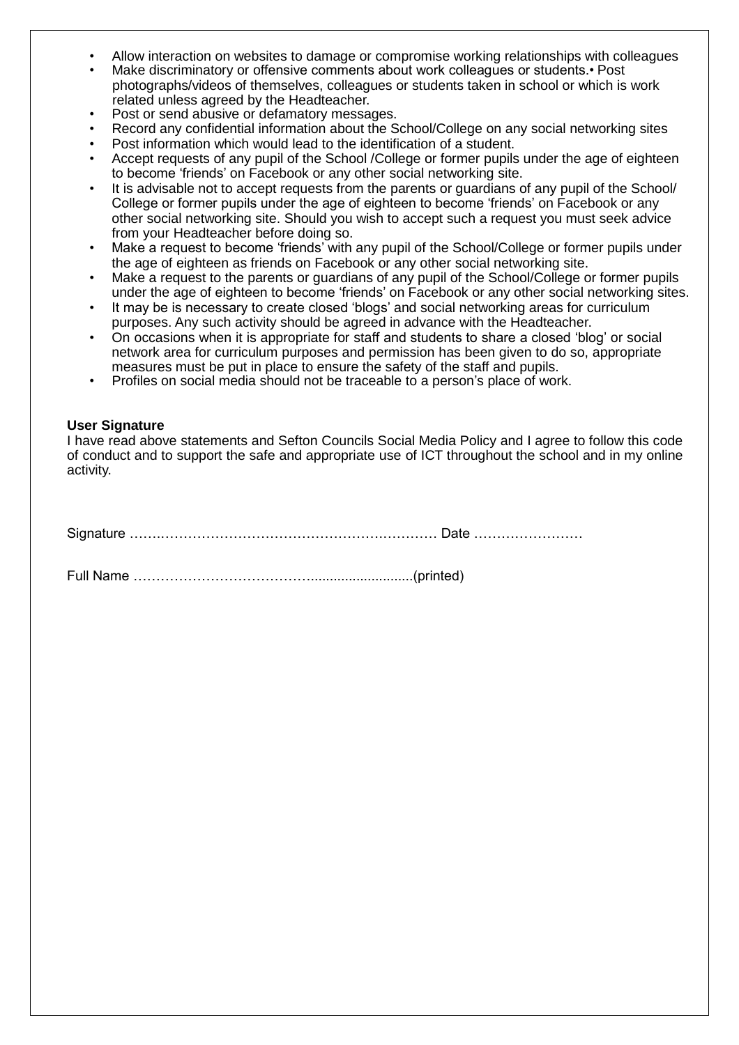- Allow interaction on websites to damage or compromise working relationships with colleagues
- Make discriminatory or offensive comments about work colleagues or students.• Post photographs/videos of themselves, colleagues or students taken in school or which is work related unless agreed by the Headteacher.
- Post or send abusive or defamatory messages.
- Record any confidential information about the School/College on any social networking sites
- Post information which would lead to the identification of a student.
- Accept requests of any pupil of the School /College or former pupils under the age of eighteen to become 'friends' on Facebook or any other social networking site.
- It is advisable not to accept requests from the parents or guardians of any pupil of the School/ College or former pupils under the age of eighteen to become 'friends' on Facebook or any other social networking site. Should you wish to accept such a request you must seek advice from your Headteacher before doing so.
- Make a request to become 'friends' with any pupil of the School/College or former pupils under the age of eighteen as friends on Facebook or any other social networking site.
- Make a request to the parents or quardians of any pupil of the School/College or former pupils under the age of eighteen to become 'friends' on Facebook or any other social networking sites.
- It may be is necessary to create closed 'blogs' and social networking areas for curriculum purposes. Any such activity should be agreed in advance with the Headteacher.
- On occasions when it is appropriate for staff and students to share a closed 'blog' or social network area for curriculum purposes and permission has been given to do so, appropriate measures must be put in place to ensure the safety of the staff and pupils.
- Profiles on social media should not be traceable to a person's place of work.

#### **User Signature**

I have read above statements and Sefton Councils Social Media Policy and I agree to follow this code of conduct and to support the safe and appropriate use of ICT throughout the school and in my online activity.

Signature …….………………………………………….………… Date ……………………

Full Name …………………………………...........................(printed)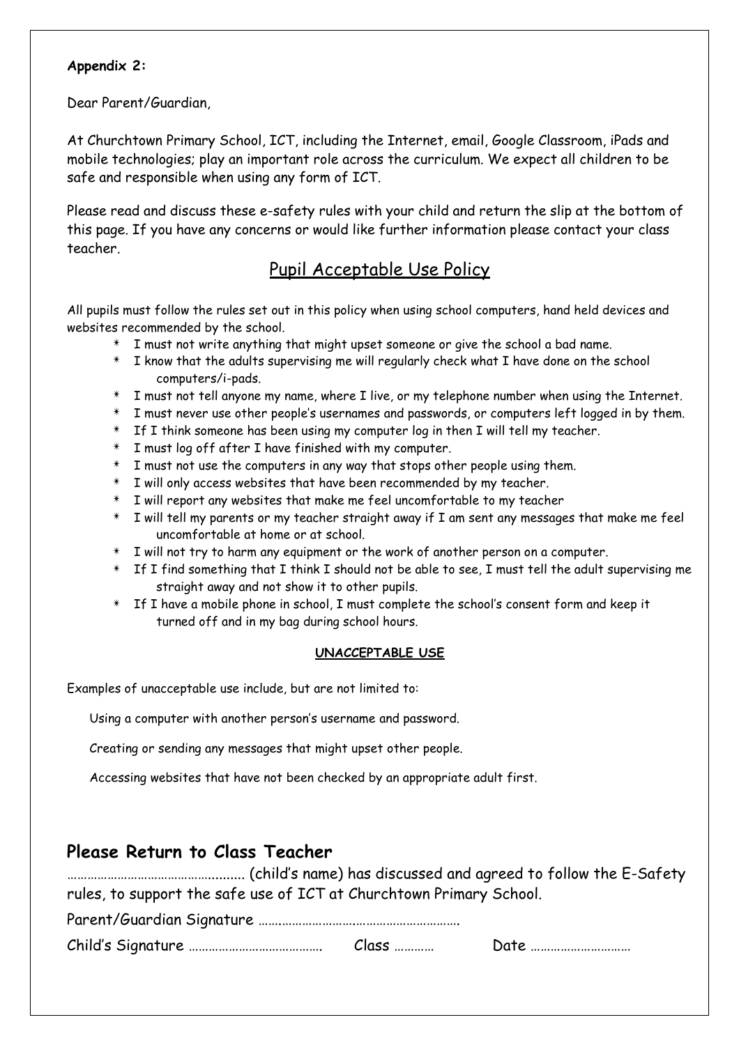#### **Appendix 2:**

Dear Parent/Guardian,

At Churchtown Primary School, ICT, including the Internet, email, Google Classroom, iPads and mobile technologies; play an important role across the curriculum. We expect all children to be safe and responsible when using any form of ICT.

Please read and discuss these e-safety rules with your child and return the slip at the bottom of this page. If you have any concerns or would like further information please contact your class teacher.

# Pupil Acceptable Use Policy

All pupils must follow the rules set out in this policy when using school computers, hand held devices and websites recommended by the school.

- $*$  I must not write anything that might upset someone or give the school a bad name.
- ✴ I know that the adults supervising me will regularly check what I have done on the school computers/i-pads.
- $*$  I must not tell anyone my name, where I live, or my telephone number when using the Internet.
- $*$  I must never use other people's usernames and passwords, or computers left logged in by them.
- $*$  If I think someone has been using my computer log in then I will tell my teacher.
- $*$  I must log off after I have finished with my computer.
- $*$  I must not use the computers in any way that stops other people using them.
- $*$  I will only access websites that have been recommended by my teacher.
- $*$  I will report any websites that make me feel uncomfortable to my teacher
- $*$  I will tell my parents or my teacher straight away if I am sent any messages that make me feel uncomfortable at home or at school.
- $*$  I will not try to harm any equipment or the work of another person on a computer.
- $*$  If I find something that I think I should not be able to see, I must tell the adult supervising me straight away and not show it to other pupils.
- $*$  If I have a mobile phone in school, I must complete the school's consent form and keep it turned off and in my bag during school hours.

#### **UNACCEPTABLE USE**

Examples of unacceptable use include, but are not limited to:

Using a computer with another person's username and password.

Creating or sending any messages that might upset other people.

Accessing websites that have not been checked by an appropriate adult first.

## **Please Return to Class Teacher**

…………………………………….......... (child's name) has discussed and agreed to follow the E-Safety rules, to support the safe use of ICT at Churchtown Primary School.

Parent/Guardian Signature …….………………….………………………….

Child's Signature …………………………………. Class ………… Date …………………………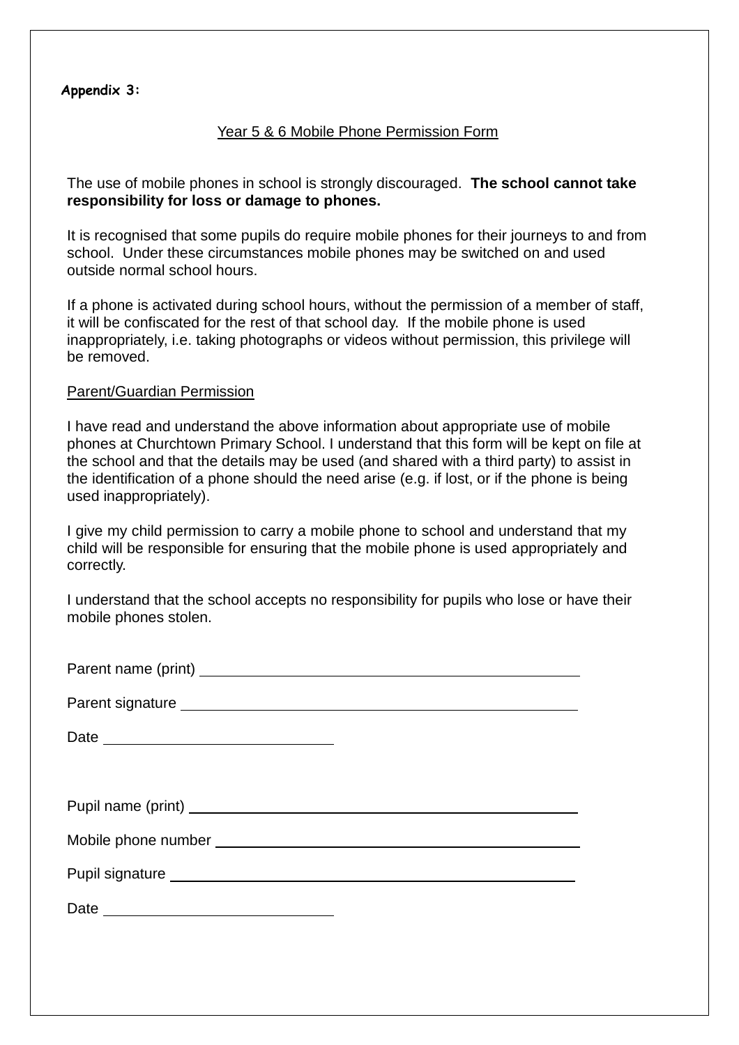#### **Appendix 3:**

#### Year 5 & 6 Mobile Phone Permission Form

The use of mobile phones in school is strongly discouraged. **The school cannot take responsibility for loss or damage to phones.**

It is recognised that some pupils do require mobile phones for their journeys to and from school. Under these circumstances mobile phones may be switched on and used outside normal school hours.

If a phone is activated during school hours, without the permission of a member of staff, it will be confiscated for the rest of that school day. If the mobile phone is used inappropriately, i.e. taking photographs or videos without permission, this privilege will be removed.

#### Parent/Guardian Permission

I have read and understand the above information about appropriate use of mobile phones at Churchtown Primary School. I understand that this form will be kept on file at the school and that the details may be used (and shared with a third party) to assist in the identification of a phone should the need arise (e.g. if lost, or if the phone is being used inappropriately).

I give my child permission to carry a mobile phone to school and understand that my child will be responsible for ensuring that the mobile phone is used appropriately and correctly.

I understand that the school accepts no responsibility for pupils who lose or have their mobile phones stolen.

| Pupil signature <b>contract and the contract of the contract of the contract of the contract of the contract of the contract of the contract of the contract of the contract of the contract of the contract of the contract of </b> |
|--------------------------------------------------------------------------------------------------------------------------------------------------------------------------------------------------------------------------------------|
|                                                                                                                                                                                                                                      |
|                                                                                                                                                                                                                                      |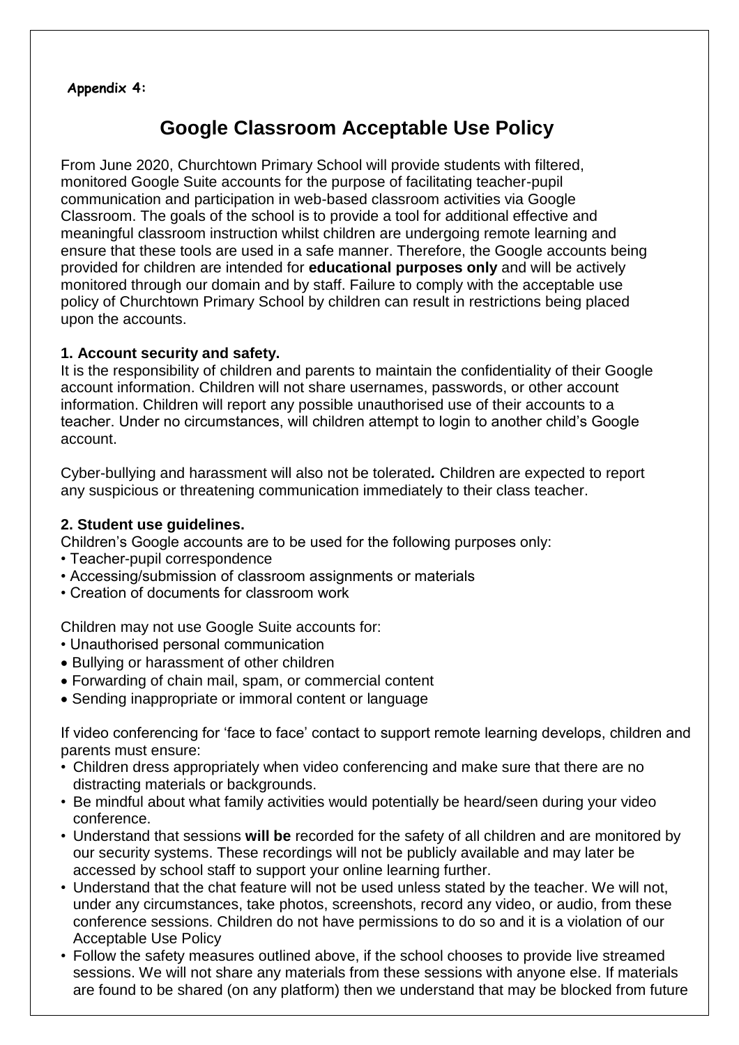#### **Appendix 4:**

# **Google Classroom Acceptable Use Policy**

From June 2020, Churchtown Primary School will provide students with filtered, monitored Google Suite accounts for the purpose of facilitating teacher-pupil communication and participation in web-based classroom activities via Google Classroom. The goals of the school is to provide a tool for additional effective and meaningful classroom instruction whilst children are undergoing remote learning and ensure that these tools are used in a safe manner. Therefore, the Google accounts being provided for children are intended for **educational purposes only** and will be actively monitored through our domain and by staff. Failure to comply with the acceptable use policy of Churchtown Primary School by children can result in restrictions being placed upon the accounts.

#### **1. Account security and safety.**

It is the responsibility of children and parents to maintain the confidentiality of their Google account information. Children will not share usernames, passwords, or other account information. Children will report any possible unauthorised use of their accounts to a teacher. Under no circumstances, will children attempt to login to another child's Google account.

Cyber-bullying and harassment will also not be tolerated*.* Children are expected to report any suspicious or threatening communication immediately to their class teacher.

#### **2. Student use guidelines.**

Children's Google accounts are to be used for the following purposes only:

- Teacher-pupil correspondence
- Accessing/submission of classroom assignments or materials
- Creation of documents for classroom work

Children may not use Google Suite accounts for:

- Unauthorised personal communication
- Bullying or harassment of other children
- Forwarding of chain mail, spam, or commercial content
- Sending inappropriate or immoral content or language

If video conferencing for 'face to face' contact to support remote learning develops, children and parents must ensure:

- Children dress appropriately when video conferencing and make sure that there are no distracting materials or backgrounds.
- Be mindful about what family activities would potentially be heard/seen during your video conference.
- Understand that sessions **will be** recorded for the safety of all children and are monitored by our security systems. These recordings will not be publicly available and may later be accessed by school staff to support your online learning further.
- Understand that the chat feature will not be used unless stated by the teacher. We will not, under any circumstances, take photos, screenshots, record any video, or audio, from these conference sessions. Children do not have permissions to do so and it is a violation of our Acceptable Use Policy
- Follow the safety measures outlined above, if the school chooses to provide live streamed sessions. We will not share any materials from these sessions with anyone else. If materials are found to be shared (on any platform) then we understand that may be blocked from future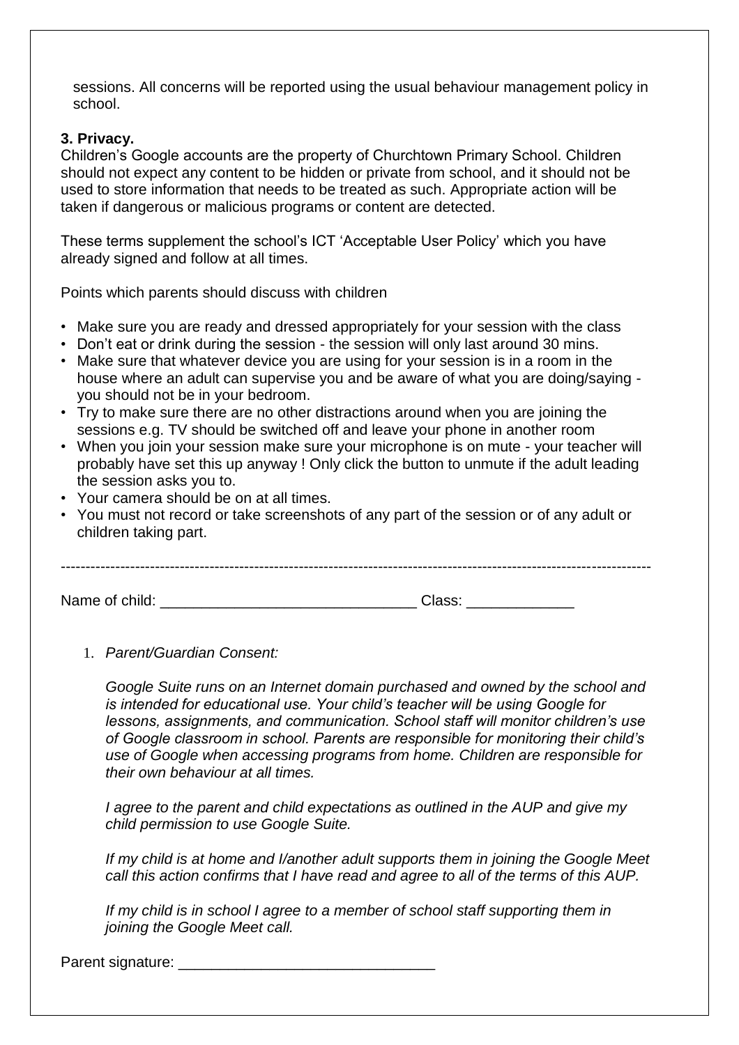sessions. All concerns will be reported using the usual behaviour management policy in school.

#### **3. Privacy.**

Children's Google accounts are the property of Churchtown Primary School. Children should not expect any content to be hidden or private from school, and it should not be used to store information that needs to be treated as such. Appropriate action will be taken if dangerous or malicious programs or content are detected.

These terms supplement the school's ICT 'Acceptable User Policy' which you have already signed and follow at all times.

Points which parents should discuss with children

- Make sure you are ready and dressed appropriately for your session with the class
- Don't eat or drink during the session the session will only last around 30 mins.
- Make sure that whatever device you are using for your session is in a room in the house where an adult can supervise you and be aware of what you are doing/saying you should not be in your bedroom.
- Try to make sure there are no other distractions around when you are joining the sessions e.g. TV should be switched off and leave your phone in another room
- When you join your session make sure your microphone is on mute your teacher will probably have set this up anyway ! Only click the button to unmute if the adult leading the session asks you to.
- Your camera should be on at all times.
- You must not record or take screenshots of any part of the session or of any adult or children taking part.

| Name of child: | Class: |  |
|----------------|--------|--|
|                |        |  |

1. *Parent/Guardian Consent:* 

*Google Suite runs on an Internet domain purchased and owned by the school and is intended for educational use. Your child's teacher will be using Google for lessons, assignments, and communication. School staff will monitor children's use of Google classroom in school. Parents are responsible for monitoring their child's use of Google when accessing programs from home. Children are responsible for their own behaviour at all times.* 

*I agree to the parent and child expectations as outlined in the AUP and give my child permission to use Google Suite.* 

*If my child is at home and I/another adult supports them in joining the Google Meet call this action confirms that I have read and agree to all of the terms of this AUP.* 

*If my child is in school I agree to a member of school staff supporting them in joining the Google Meet call.* 

Parent signature: \_\_\_\_\_\_\_\_\_\_\_\_\_\_\_\_\_\_\_\_\_\_\_\_\_\_\_\_\_\_\_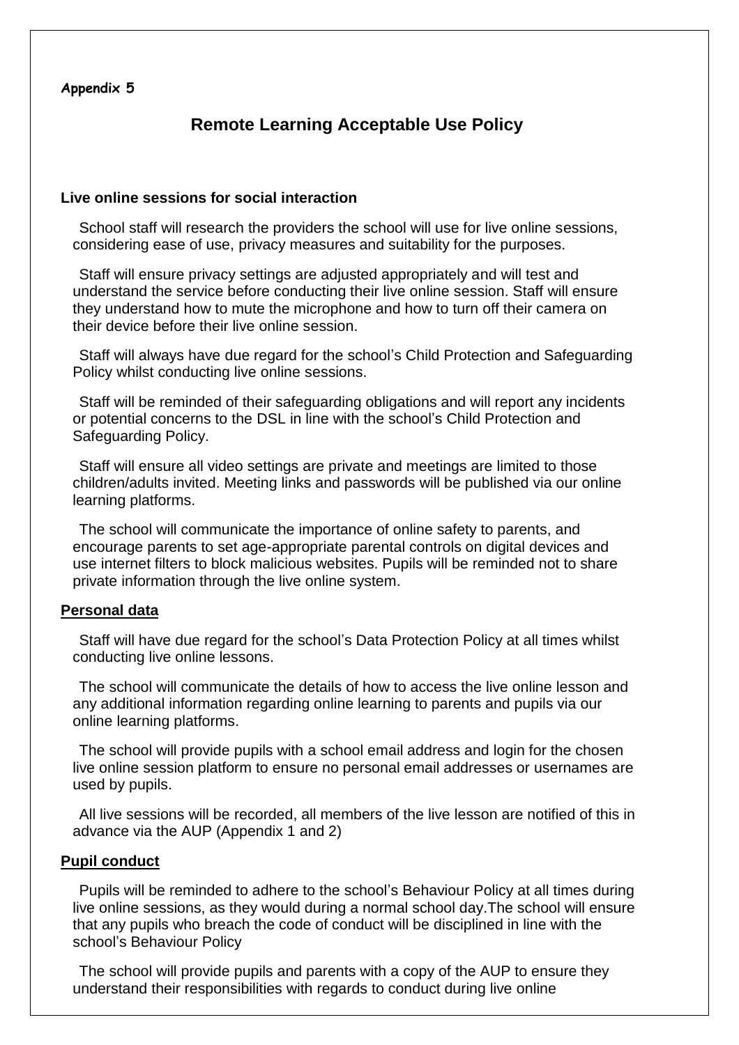#### **Appendix 5**

# **Remote Learning Acceptable Use Policy**

#### **Live online sessions for social interaction**

 School staff will research the providers the school will use for live online sessions, considering ease of use, privacy measures and suitability for the purposes.

 Staff will ensure privacy settings are adjusted appropriately and will test and understand the service before conducting their live online session. Staff will ensure they understand how to mute the microphone and how to turn off their camera on their device before their live online session.

 Staff will always have due regard for the school's Child Protection and Safeguarding Policy whilst conducting live online sessions.

 Staff will be reminded of their safeguarding obligations and will report any incidents or potential concerns to the DSL in line with the school's Child Protection and Safeguarding Policy.

 Staff will ensure all video settings are private and meetings are limited to those children/adults invited. Meeting links and passwords will be published via our online learning platforms.

 The school will communicate the importance of online safety to parents, and encourage parents to set age-appropriate parental controls on digital devices and use internet filters to block malicious websites. Pupils will be reminded not to share private information through the live online system.

#### **Personal data**

 Staff will have due regard for the school's Data Protection Policy at all times whilst conducting live online lessons.

 The school will communicate the details of how to access the live online lesson and any additional information regarding online learning to parents and pupils via our online learning platforms.

 The school will provide pupils with a school email address and login for the chosen live online session platform to ensure no personal email addresses or usernames are used by pupils.

 All live sessions will be recorded, all members of the live lesson are notified of this in advance via the AUP (Appendix 1 and 2)

#### **Pupil conduct**

 Pupils will be reminded to adhere to the school's Behaviour Policy at all times during live online sessions, as they would during a normal school day.The school will ensure that any pupils who breach the code of conduct will be disciplined in line with the school's Behaviour Policy

 The school will provide pupils and parents with a copy of the AUP to ensure they understand their responsibilities with regards to conduct during live online